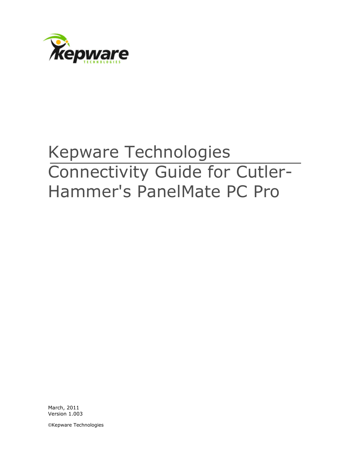

# Kepware Technologies Connectivity Guide for Cutler-Hammer's PanelMate PC Pro

March, 2011 Version 1.003

©Kepware Technologies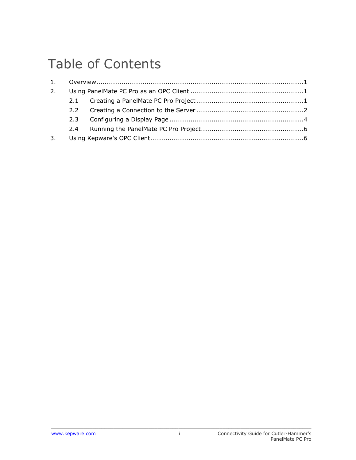## Table of Contents

| 2. |  |  |
|----|--|--|
|    |  |  |
|    |  |  |
|    |  |  |
|    |  |  |
| 3. |  |  |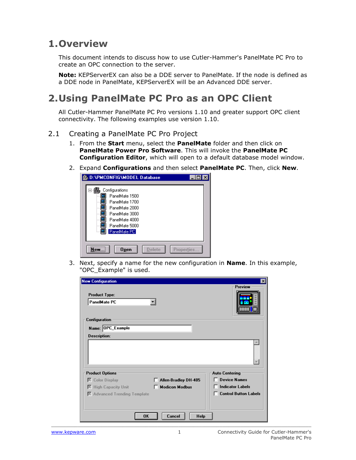#### <span id="page-2-0"></span>**1.Overview**

This document intends to discuss how to use Cutler-Hammer's PanelMate PC Pro to create an OPC connection to the server.

**Note:** KEPServerEX can also be a DDE server to PanelMate. If the node is defined as a DDE node in PanelMate, KEPServerEX will be an Advanced DDE server.

## <span id="page-2-1"></span>**2.Using PanelMate PC Pro as an OPC Client**

All Cutler-Hammer PanelMate PC Pro versions 1.10 and greater support OPC client connectivity. The following examples use version 1.10.

- <span id="page-2-2"></span>2.1 Creating a PanelMate PC Pro Project
	- 1. From the **Start** menu, select the **PanelMate** folder and then click on **PanelMate Power Pro Software**. This will invoke the **PanelMate PC Configuration Editor**, which will open to a default database model window.
	- 2. Expand **Configurations** and then select **PanelMate PC**. Then, click **New**.



3. Next, specify a name for the new configuration in **Name**. In this example, "OPC\_Example" is used.

| <b>New Configuration</b>             |                       | $\vert x \vert$              |
|--------------------------------------|-----------------------|------------------------------|
| <b>Product Type:</b><br>PanelMate PC |                       | Preview                      |
| Configuration                        |                       |                              |
| Name: OPC_Example                    |                       |                              |
| <b>Description:</b>                  |                       |                              |
|                                      |                       |                              |
| <b>Product Options</b>               |                       | <b>Auto Centering</b>        |
| $\overline{X}$ Color Display         | Allen-Bradley DH-485  | <b>Device Names</b>          |
| <b>High Capacity Unit</b><br>⊠       | <b>Modicon Modbus</b> | <b>Indicator Labels</b>      |
| X Advanced Trending Template         |                       | <b>Control Button Labels</b> |
| <b>OK</b>                            | Help<br>Cancel        |                              |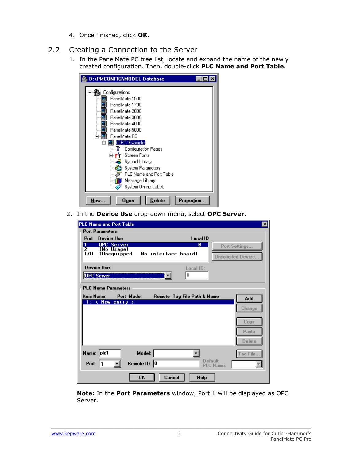- 4. Once finished, click **OK**.
- <span id="page-3-0"></span>2.2 Creating a Connection to the Server
	- 1. In the PanelMate PC tree list, locate and expand the name of the newly created configuration. Then, double-click **PLC Name and Port Table**.

| D:\PMCONFIG\MODEL Database                  |  |
|---------------------------------------------|--|
| Configurations                              |  |
| PanelMate 1500<br>æ                         |  |
| PanelMate 1700                              |  |
| ш<br>PanelMate 2000                         |  |
| 粵<br>PanelMate 3000                         |  |
| PanelMate 4000<br>щ                         |  |
| PanelMate 5000                              |  |
| PanelMate PC                                |  |
| <b>OPC</b> Example<br>ш<br>▭                |  |
| <b>Configuration Pages</b><br>h             |  |
| Screen Fonts<br>FF.                         |  |
| Symbol Library                              |  |
| System Parameters<br>翻                      |  |
| ð<br>PLC Name and Port Table                |  |
| Message Library                             |  |
| System Online Labels                        |  |
|                                             |  |
| Delete<br>Open<br><b>Properties.</b><br>New |  |

2. In the **Device Use** drop-down menu, select **OPC Server**.

| <b>PLC Name and Port Table</b>                         | $\mathbf{x}$                       |
|--------------------------------------------------------|------------------------------------|
| <b>Port Parameters</b>                                 |                                    |
| Device Use<br>Port                                     | <b>Local ID</b>                    |
| OPC Server<br>$\frac{1}{2}$                            | Ø<br>Port Settings                 |
| (No Usage)<br>(Unequipped - No interface board)<br>1/0 |                                    |
|                                                        | <b>Unsolicited Device</b>          |
| Device Use:                                            | Local ID:                          |
| <b>OPC</b> Server                                      | Iо                                 |
|                                                        |                                    |
| <b>PLC Name Parameters</b>                             |                                    |
| <b>Item Name</b><br>Port Model                         | Remote Tag File Path & Name<br>Add |
| 1: $\langle$ New entry $\rangle$                       |                                    |
|                                                        | Change                             |
|                                                        | Copy                               |
|                                                        |                                    |
|                                                        | Paste                              |
|                                                        | <b>Delete</b>                      |
|                                                        |                                    |
| Name: plc1<br>Model:                                   | Tag File.                          |
| Remote $ID: 0$<br>Port: $ 1$                           | <b>Default</b><br><b>PLC Name:</b> |
| <b>OK</b><br>Cancel                                    | <b>Help</b>                        |

**Note:** In the **Port Parameters** window, Port 1 will be displayed as OPC Server.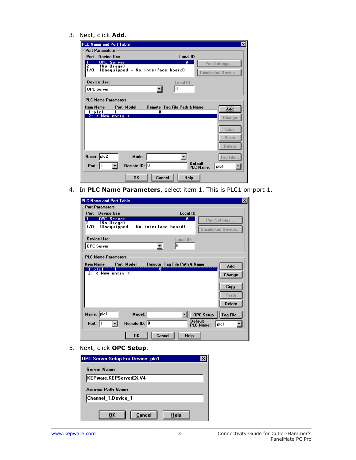3. Next, click **Add**.

| PLC Name and Port Table                                       | $\vert x \vert$                                                        |
|---------------------------------------------------------------|------------------------------------------------------------------------|
| <b>Port Parameters</b>                                        |                                                                        |
| Device Use<br>Port                                            | <b>Local ID</b>                                                        |
| OPC Server<br>$\frac{1}{2}$                                   | Ø<br>Port Settings                                                     |
| (No Usage)<br>1/0<br>(Unequipped - No interface board)        | <b>Unsolicited Device</b>                                              |
| Device Use:<br>Local ID:                                      |                                                                        |
| lo<br><b>OPC Server</b>                                       |                                                                        |
| <b>PLC Name Parameters</b>                                    |                                                                        |
| Port Model<br><b>Item Name</b><br>Remote Tag File Path & Name |                                                                        |
| 1:p1c1<br>Ø                                                   | Add                                                                    |
| 2: <b>New entry</b> >                                         | Change                                                                 |
|                                                               |                                                                        |
|                                                               | Copy                                                                   |
|                                                               | Paste                                                                  |
|                                                               | Delete                                                                 |
|                                                               |                                                                        |
| Name: plc2<br>Model:                                          | Tag File                                                               |
| Remote $ID:  0 $<br>Port: $ 1$<br>$\overline{\phantom{a}}$    | <b>Default</b><br>plc1<br>$\overline{\phantom{a}}$<br><b>PLC Name:</b> |
| <b>OK</b><br>Cancel                                           | <b>Help</b>                                                            |

4. In **PLC Name Parameters**, select item 1. This is PLC1 on port 1.

| <b>PLC Name and Port Table</b>                                     | $\vert x \vert$                            |
|--------------------------------------------------------------------|--------------------------------------------|
| <b>Port Parameters</b>                                             |                                            |
| Device Use<br>Port                                                 | <b>Local ID</b>                            |
| OPC Server<br>1<br>$\overline{2}$<br>(No Usage)                    | Ø<br>Port Settings                         |
| 170.<br>(Unequipped - No interface board)                          | <b>Unsolicited Device</b>                  |
|                                                                    |                                            |
| Device Lise:                                                       | Local ID:                                  |
| <b>OPC Server</b>                                                  | Iо                                         |
|                                                                    |                                            |
| <b>PLC Name Parameters</b>                                         |                                            |
| Port Model<br>Item Name                                            | Remote Tag File Path & Name<br>Add<br>й    |
| 1:p c1<br>$2: \left\langle \right\rangle$ New entry $\left\rangle$ | Change                                     |
|                                                                    |                                            |
|                                                                    | Copy                                       |
|                                                                    |                                            |
|                                                                    | Paste                                      |
|                                                                    | <b>Delete</b>                              |
|                                                                    |                                            |
| Name: plc1<br>Model:                                               | <b>OPC Setup</b><br>Tag File               |
| Remote ID: 0<br>Port:                                              | <b>Default</b><br>plc1<br><b>PLC Name:</b> |
| OK                                                                 | Cancel<br>Help                             |

5. Next, click **OPC Setup**.

| <b>OPC Server Setup For Device: plc1</b> |  |
|------------------------------------------|--|
| Server Name:                             |  |
| KEPware.KEPServerEX.V4                   |  |
| <b>Access Path Name:</b>                 |  |
| Channel 1.Device 1                       |  |
|                                          |  |
| Cancel<br>Help<br>OK                     |  |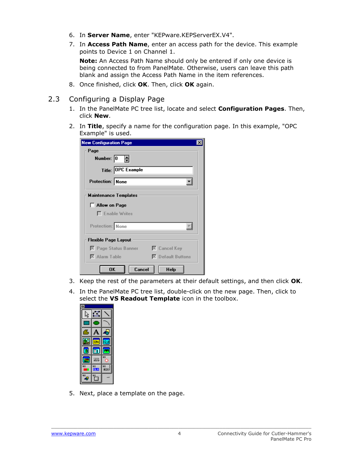- 6. In **Server Name**, enter "KEPware.KEPServerEX.V4".
- 7. In **Access Path Name**, enter an access path for the device. This example points to Device 1 on Channel 1.

**Note:** An Access Path Name should only be entered if only one device is being connected to from PanelMate. Otherwise, users can leave this path blank and assign the Access Path Name in the item references.

8. Once finished, click **OK**. Then, click **OK** again.

#### <span id="page-5-0"></span>2.3 Configuring a Display Page

- 1. In the PanelMate PC tree list, locate and select **Configuration Pages**. Then, click **New**.
- 2. In **Title**, specify a name for the configuration page. In this example, "OPC Example" is used.

| <b>New Configuration Page</b>                |                           |  |  |  |  |  |
|----------------------------------------------|---------------------------|--|--|--|--|--|
| Page                                         |                           |  |  |  |  |  |
| Number: $\begin{bmatrix} 0 \\ \end{bmatrix}$ |                           |  |  |  |  |  |
| Title: OPC Example                           |                           |  |  |  |  |  |
| Protection: None                             |                           |  |  |  |  |  |
| <b>Maintenance Templates</b>                 |                           |  |  |  |  |  |
| $\Box$ Allow on Page                         |                           |  |  |  |  |  |
| $\Gamma$ Enable Writes                       |                           |  |  |  |  |  |
| Protection: None                             |                           |  |  |  |  |  |
| Flexible Page Layout                         |                           |  |  |  |  |  |
| $\overline{\mathbf{X}}$ Page Status Banner   | $\overline{X}$ Cancel Key |  |  |  |  |  |
| $\overline{X}$ Alarm Table                   | <b>X</b> Default Buttons  |  |  |  |  |  |
| Cancel<br>OK                                 | Help                      |  |  |  |  |  |

- 3. Keep the rest of the parameters at their default settings, and then click **OK**.
- 4. In the PanelMate PC tree list, double-click on the new page. Then, click to select the **VS Readout Template** icon in the toolbox.

|          | 159        | VS               |  |  |  |
|----------|------------|------------------|--|--|--|
| .<br>US  | VS<br>12.0 | Vs<br><b>HSS</b> |  |  |  |
| VS<br>45 | Vs         |                  |  |  |  |

5. Next, place a template on the page.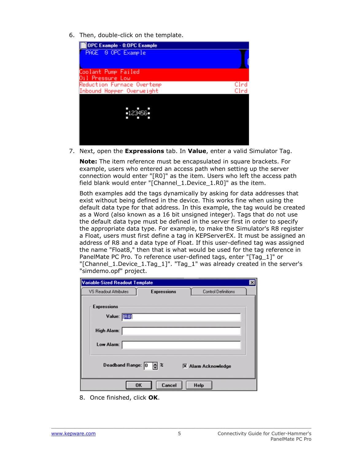6. Then, double-click on the template.



7. Next, open the **Expressions** tab. In **Value**, enter a valid Simulator Tag.

**Note:** The item reference must be encapsulated in square brackets. For example, users who entered an access path when setting up the server connection would enter "[R0]" as the item. Users who left the access path field blank would enter "[Channel\_1.Device\_1.R0]" as the item.

Both examples add the tags dynamically by asking for data addresses that exist without being defined in the device. This works fine when using the default data type for that address. In this example, the tag would be created as a Word (also known as a 16 bit unsigned integer). Tags that do not use the default data type must be defined in the server first in order to specify the appropriate data type. For example, to make the Simulator's R8 register a Float, users must first define a tag in KEPServerEX. It must be assigned an address of R8 and a data type of Float. If this user-defined tag was assigned the name "Float8," then that is what would be used for the tag reference in PanelMate PC Pro. To reference user-defined tags, enter "[Tag\_1]" or "[Channel\_1.Device\_1.Tag\_1]". "Tag\_1" was already created in the server's "simdemo.opf" project.

| <b>Variable-Sized Readout Template</b> |                     | $\boldsymbol{\mathsf{x}}$  |
|----------------------------------------|---------------------|----------------------------|
| VS Readout Attributes                  | <b>Expressions</b>  | <b>Control Definitions</b> |
| <b>Expressions</b>                     |                     |                            |
| Value: [HO]                            |                     |                            |
| High Alarm:                            |                     |                            |
| Low Alarm:                             |                     |                            |
| Deadband Range: 0                      | - 2                 | X Alarm Acknowledge        |
|                                        | Cancel<br><b>OK</b> | Help                       |

8. Once finished, click **OK**.